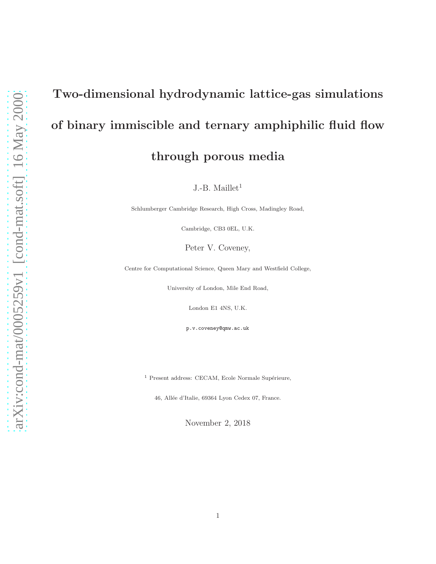# Two-dimensional hydrodynamic lattice-gas simulations of binary immiscible and ternary amphiphilic fluid flow through porous media

J.-B. Maillet<sup>1</sup>

Schlumberger Cambridge Research, High Cross, Madingley Road,

Cambridge, CB3 0EL, U.K.

Peter V. Coveney,

Centre for Computational Science, Queen Mary and Westfield College,

University of London, Mile End Road,

London E1 4NS, U.K.

p.v.coveney@qmw.ac.uk

 $1$  Present address: CECAM, Ecole Normale Supérieure,

46, Allée d'Italie, 69364 Lyon Cedex 07, France.

November 2, 2018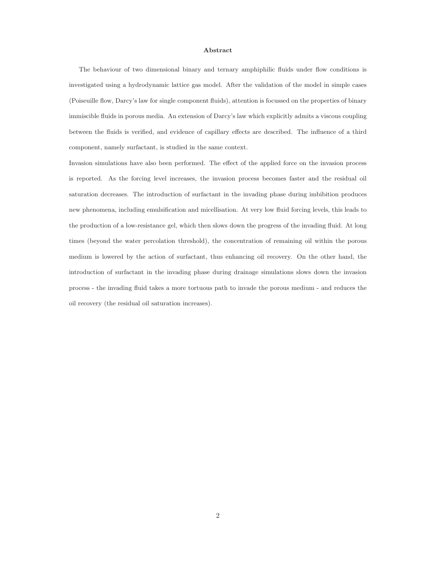#### Abstract

The behaviour of two dimensional binary and ternary amphiphilic fluids under flow conditions is investigated using a hydrodynamic lattice gas model. After the validation of the model in simple cases (Poiseuille flow, Darcy's law for single component fluids), attention is focussed on the properties of binary immiscible fluids in porous media. An extension of Darcy's law which explicitly admits a viscous coupling between the fluids is verified, and evidence of capillary effects are described. The influence of a third component, namely surfactant, is studied in the same context.

Invasion simulations have also been performed. The effect of the applied force on the invasion process is reported. As the forcing level increases, the invasion process becomes faster and the residual oil saturation decreases. The introduction of surfactant in the invading phase during imbibition produces new phenomena, including emulsification and micellisation. At very low fluid forcing levels, this leads to the production of a low-resistance gel, which then slows down the progress of the invading fluid. At long times (beyond the water percolation threshold), the concentration of remaining oil within the porous medium is lowered by the action of surfactant, thus enhancing oil recovery. On the other hand, the introduction of surfactant in the invading phase during drainage simulations slows down the invasion process - the invading fluid takes a more tortuous path to invade the porous medium - and reduces the oil recovery (the residual oil saturation increases).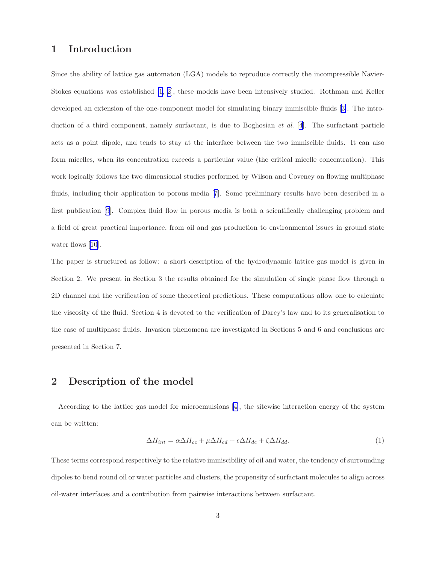# 1 Introduction

Since the ability of lattice gas automaton (LGA) models to reproduce correctly the incompressible Navier-Stokes equations was established [\[1](#page-46-0), [2](#page-46-0)], these models have been intensively studied. Rothman and Keller developed an extension of the one-component model for simulating binary immiscible fluids[[3\]](#page-46-0). The introduction of a third component, namely surfactant, is due to Boghosian et al. [\[4](#page-46-0)]. The surfactant particle acts as a point dipole, and tends to stay at the interface between the two immiscible fluids. It can also form micelles, when its concentration exceeds a particular value (the critical micelle concentration). This work logically follows the two dimensional studies performed by Wilson and Coveney on flowing multiphase fluids, including their application to porous media[[7\]](#page-46-0). Some preliminary results have been described in a first publication [\[9\]](#page-46-0). Complex fluid flow in porous media is both a scientifically challenging problem and a field of great practical importance, from oil and gas production to environmental issues in ground state waterflows [[10\]](#page-46-0).

The paper is structured as follow: a short description of the hydrodynamic lattice gas model is given in Section 2. We present in Section 3 the results obtained for the simulation of single phase flow through a 2D channel and the verification of some theoretical predictions. These computations allow one to calculate the viscosity of the fluid. Section 4 is devoted to the verification of Darcy's law and to its generalisation to the case of multiphase fluids. Invasion phenomena are investigated in Sections 5 and 6 and conclusions are presented in Section 7.

# 2 Description of the model

According to the lattice gas model for microemulsions [\[4](#page-46-0)], the sitewise interaction energy of the system can be written:

$$
\Delta H_{int} = \alpha \Delta H_{cc} + \mu \Delta H_{cd} + \epsilon \Delta H_{dc} + \zeta \Delta H_{dd}.
$$
\n(1)

These terms correspond respectively to the relative immiscibility of oil and water, the tendency of surrounding dipoles to bend round oil or water particles and clusters, the propensity of surfactant molecules to align across oil-water interfaces and a contribution from pairwise interactions between surfactant.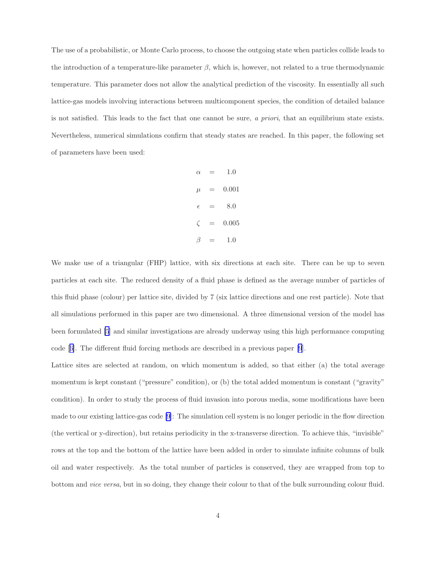The use of a probabilistic, or Monte Carlo process, to choose the outgoing state when particles collide leads to the introduction of a temperature-like parameter  $\beta$ , which is, however, not related to a true thermodynamic temperature. This parameter does not allow the analytical prediction of the viscosity. In essentially all such lattice-gas models involving interactions between multicomponent species, the condition of detailed balance is not satisfied. This leads to the fact that one cannot be sure, a priori, that an equilibrium state exists. Nevertheless, numerical simulations confirm that steady states are reached. In this paper, the following set of parameters have been used:

$$
\alpha = 1.0
$$
  
\n
$$
\mu = 0.001
$$
  
\n
$$
\epsilon = 8.0
$$
  
\n
$$
\zeta = 0.005
$$
  
\n
$$
\beta = 1.0
$$

We make use of a triangular (FHP) lattice, with six directions at each site. There can be up to seven particles at each site. The reduced density of a fluid phase is defined as the average number of particles of this fluid phase (colour) per lattice site, divided by 7 (six lattice directions and one rest particle). Note that all simulations performed in this paper are two dimensional. A three dimensional version of the model has been formulated [\[5](#page-46-0)] and similar investigations are already underway using this high performance computing code[[6\]](#page-46-0). The different fluid forcing methods are described in a previous paper [\[9](#page-46-0)].

Lattice sites are selected at random, on which momentum is added, so that either (a) the total average momentum is kept constant ("pressure" condition), or (b) the total added momentum is constant ("gravity" condition). In order to study the process of fluid invasion into porous media, some modifications have been made to our existing lattice-gas code [\[9](#page-46-0)]: The simulation cell system is no longer periodic in the flow direction (the vertical or y-direction), but retains periodicity in the x-transverse direction. To achieve this, "invisible" rows at the top and the bottom of the lattice have been added in order to simulate infinite columns of bulk oil and water respectively. As the total number of particles is conserved, they are wrapped from top to bottom and vice versa, but in so doing, they change their colour to that of the bulk surrounding colour fluid.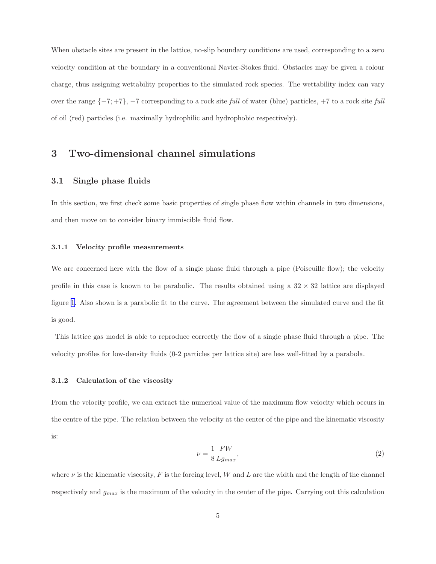When obstacle sites are present in the lattice, no-slip boundary conditions are used, corresponding to a zero velocity condition at the boundary in a conventional Navier-Stokes fluid. Obstacles may be given a colour charge, thus assigning wettability properties to the simulated rock species. The wettability index can vary over the range {−7; +7}, −7 corresponding to a rock site full of water (blue) particles, +7 to a rock site full of oil (red) particles (i.e. maximally hydrophilic and hydrophobic respectively).

# 3 Two-dimensional channel simulations

## 3.1 Single phase fluids

In this section, we first check some basic properties of single phase flow within channels in two dimensions, and then move on to consider binary immiscible fluid flow.

#### 3.1.1 Velocity profile measurements

We are concerned here with the flow of a single phase fluid through a pipe (Poiseuille flow); the velocity profile in this case is known to be parabolic. The results obtained using a  $32 \times 32$  lattice are displayed figure [1.](#page-5-0) Also shown is a parabolic fit to the curve. The agreement between the simulated curve and the fit is good.

This lattice gas model is able to reproduce correctly the flow of a single phase fluid through a pipe. The velocity profiles for low-density fluids (0-2 particles per lattice site) are less well-fitted by a parabola.

#### 3.1.2 Calculation of the viscosity

From the velocity profile, we can extract the numerical value of the maximum flow velocity which occurs in the centre of the pipe. The relation between the velocity at the center of the pipe and the kinematic viscosity is:

$$
\nu = \frac{1}{8} \frac{FW}{Lg_{max}},\tag{2}
$$

where  $\nu$  is the kinematic viscosity, F is the forcing level, W and L are the width and the length of the channel respectively and  $g_{max}$  is the maximum of the velocity in the center of the pipe. Carrying out this calculation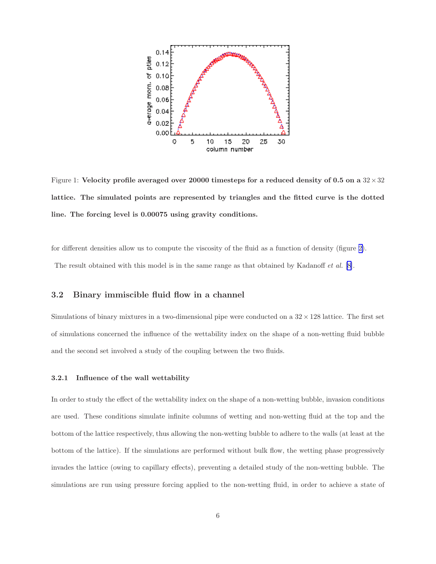<span id="page-5-0"></span>

Figure 1: Velocity profile averaged over 20000 timesteps for a reduced density of 0.5 on a  $32 \times 32$ lattice. The simulated points are represented by triangles and the fitted curve is the dotted line. The forcing level is 0.00075 using gravity conditions.

for different densities allow us to compute the viscosity of the fluid as a function of density (figure [2\)](#page-6-0). The result obtained with this model is in the same range as that obtained by Kadanoff et al. [\[8\]](#page-46-0).

## 3.2 Binary immiscible fluid flow in a channel

Simulations of binary mixtures in a two-dimensional pipe were conducted on a  $32 \times 128$  lattice. The first set of simulations concerned the influence of the wettability index on the shape of a non-wetting fluid bubble and the second set involved a study of the coupling between the two fluids.

#### 3.2.1 Influence of the wall wettability

In order to study the effect of the wettability index on the shape of a non-wetting bubble, invasion conditions are used. These conditions simulate infinite columns of wetting and non-wetting fluid at the top and the bottom of the lattice respectively, thus allowing the non-wetting bubble to adhere to the walls (at least at the bottom of the lattice). If the simulations are performed without bulk flow, the wetting phase progressively invades the lattice (owing to capillary effects), preventing a detailed study of the non-wetting bubble. The simulations are run using pressure forcing applied to the non-wetting fluid, in order to achieve a state of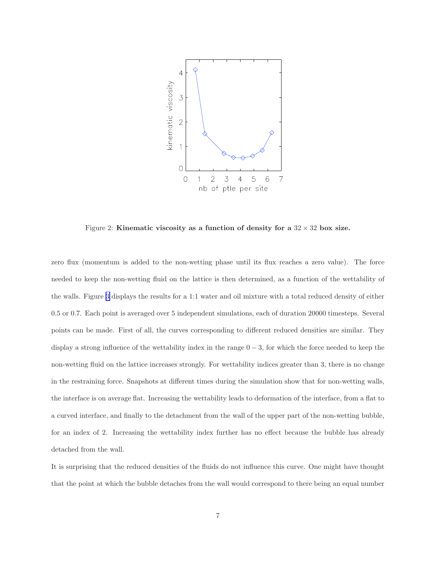<span id="page-6-0"></span>

Figure 2: Kinematic viscosity as a function of density for a  $32 \times 32$  box size.

zero flux (momentum is added to the non-wetting phase until its flux reaches a zero value). The force needed to keep the non-wetting fluid on the lattice is then determined, as a function of the wettability of the walls. Figure [3](#page-7-0) displays the results for a 1:1 water and oil mixture with a total reduced density of either 0.5 or 0.7. Each point is averaged over 5 independent simulations, each of duration 20000 timesteps. Several points can be made. First of all, the curves corresponding to different reduced densities are similar. They display a strong influence of the wettability index in the range  $0-3$ , for which the force needed to keep the non-wetting fluid on the lattice increases strongly. For wettability indices greater than 3, there is no change in the restraining force. Snapshots at different times during the simulation show that for non-wetting walls, the interface is on average flat. Increasing the wettability leads to deformation of the interface, from a flat to a curved interface, and finally to the detachment from the wall of the upper part of the non-wetting bubble, for an index of 2. Increasing the wettability index further has no effect because the bubble has already detached from the wall.

It is surprising that the reduced densities of the fluids do not influence this curve. One might have thought that the point at which the bubble detaches from the wall would correspond to there being an equal number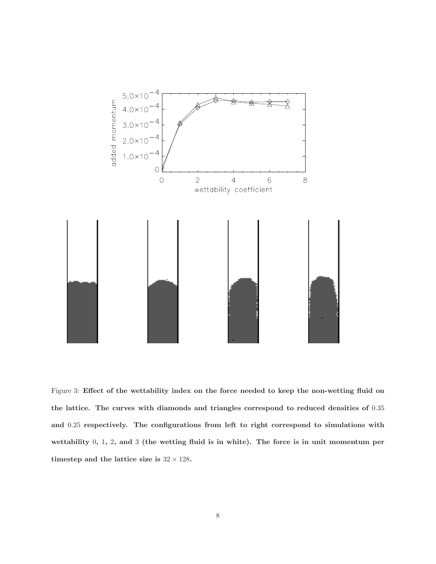<span id="page-7-0"></span>

Figure 3: Effect of the wettability index on the force needed to keep the non-wetting fluid on the lattice. The curves with diamonds and triangles correspond to reduced densities of 0.35 and 0.25 respectively. The configurations from left to right correspond to simulations with wettability 0, 1, 2, and 3 (the wetting fluid is in white). The force is in unit momentum per timestep and the lattice size is  $32 \times 128$ .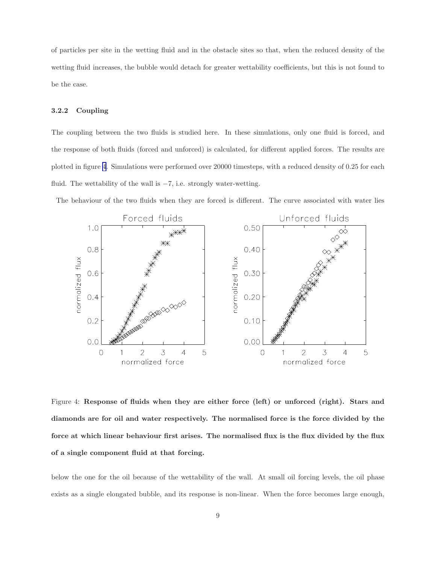<span id="page-8-0"></span>of particles per site in the wetting fluid and in the obstacle sites so that, when the reduced density of the wetting fluid increases, the bubble would detach for greater wettability coefficients, but this is not found to be the case.

#### 3.2.2 Coupling

The coupling between the two fluids is studied here. In these simulations, only one fluid is forced, and the response of both fluids (forced and unforced) is calculated, for different applied forces. The results are plotted in figure 4. Simulations were performed over 20000 timesteps, with a reduced density of 0.25 for each fluid. The wettability of the wall is  $-7$ , i.e. strongly water-wetting.

The behaviour of the two fluids when they are forced is different. The curve associated with water lies



Figure 4: Response of fluids when they are either force (left) or unforced (right). Stars and diamonds are for oil and water respectively. The normalised force is the force divided by the force at which linear behaviour first arises. The normalised flux is the flux divided by the flux of a single component fluid at that forcing.

below the one for the oil because of the wettability of the wall. At small oil forcing levels, the oil phase exists as a single elongated bubble, and its response is non-linear. When the force becomes large enough,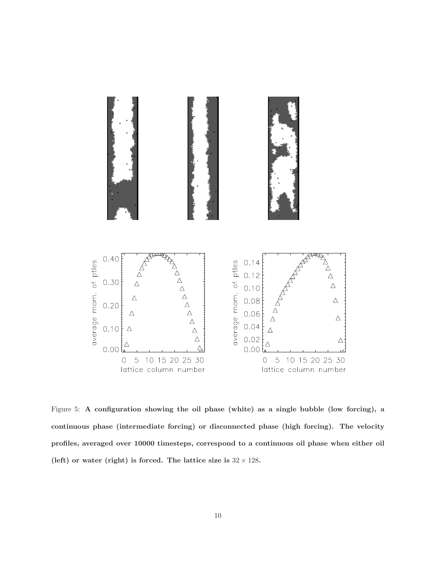<span id="page-9-0"></span>

Figure 5: A configuration showing the oil phase (white) as a single bubble (low forcing), a continuous phase (intermediate forcing) or disconnected phase (high forcing). The velocity profiles, averaged over 10000 timesteps, correspond to a continuous oil phase when either oil (left) or water (right) is forced. The lattice size is  $32 \times 128$ .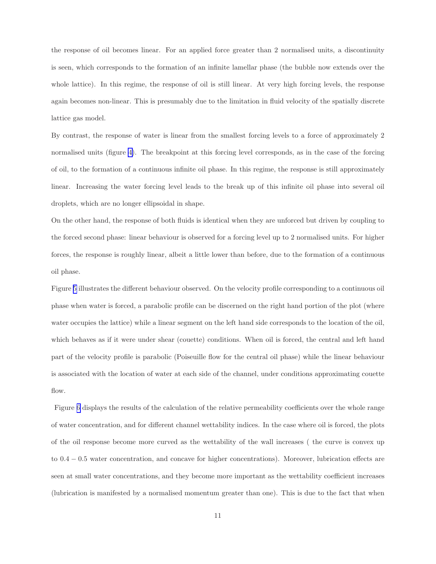the response of oil becomes linear. For an applied force greater than 2 normalised units, a discontinuity is seen, which corresponds to the formation of an infinite lamellar phase (the bubble now extends over the whole lattice). In this regime, the response of oil is still linear. At very high forcing levels, the response again becomes non-linear. This is presumably due to the limitation in fluid velocity of the spatially discrete lattice gas model.

By contrast, the response of water is linear from the smallest forcing levels to a force of approximately 2 normalised units (figure [4\)](#page-8-0). The breakpoint at this forcing level corresponds, as in the case of the forcing of oil, to the formation of a continuous infinite oil phase. In this regime, the response is still approximately linear. Increasing the water forcing level leads to the break up of this infinite oil phase into several oil droplets, which are no longer ellipsoidal in shape.

On the other hand, the response of both fluids is identical when they are unforced but driven by coupling to the forced second phase: linear behaviour is observed for a forcing level up to 2 normalised units. For higher forces, the response is roughly linear, albeit a little lower than before, due to the formation of a continuous oil phase.

Figure [5](#page-9-0) illustrates the different behaviour observed. On the velocity profile corresponding to a continuous oil phase when water is forced, a parabolic profile can be discerned on the right hand portion of the plot (where water occupies the lattice) while a linear segment on the left hand side corresponds to the location of the oil, which behaves as if it were under shear (couette) conditions. When oil is forced, the central and left hand part of the velocity profile is parabolic (Poiseuille flow for the central oil phase) while the linear behaviour is associated with the location of water at each side of the channel, under conditions approximating couette flow.

Figure [6](#page-11-0) displays the results of the calculation of the relative permeability coefficients over the whole range of water concentration, and for different channel wettability indices. In the case where oil is forced, the plots of the oil response become more curved as the wettability of the wall increases ( the curve is convex up to 0.4 − 0.5 water concentration, and concave for higher concentrations). Moreover, lubrication effects are seen at small water concentrations, and they become more important as the wettability coefficient increases (lubrication is manifested by a normalised momentum greater than one). This is due to the fact that when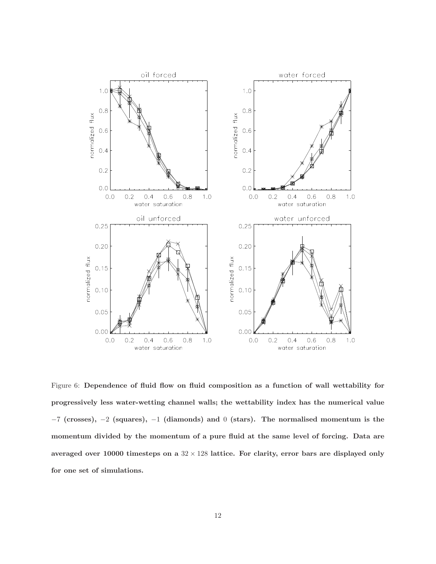<span id="page-11-0"></span>

Figure 6: Dependence of fluid flow on fluid composition as a function of wall wettability for progressively less water-wetting channel walls; the wettability index has the numerical value  $-7$  (crosses),  $-2$  (squares),  $-1$  (diamonds) and 0 (stars). The normalised momentum is the momentum divided by the momentum of a pure fluid at the same level of forcing. Data are averaged over 10000 timesteps on a  $32 \times 128$  lattice. For clarity, error bars are displayed only for one set of simulations.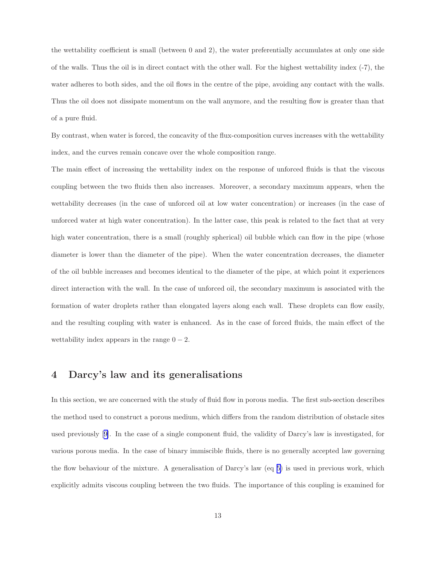the wettability coefficient is small (between 0 and 2), the water preferentially accumulates at only one side of the walls. Thus the oil is in direct contact with the other wall. For the highest wettability index (-7), the water adheres to both sides, and the oil flows in the centre of the pipe, avoiding any contact with the walls. Thus the oil does not dissipate momentum on the wall anymore, and the resulting flow is greater than that of a pure fluid.

By contrast, when water is forced, the concavity of the flux-composition curves increases with the wettability index, and the curves remain concave over the whole composition range.

The main effect of increasing the wettability index on the response of unforced fluids is that the viscous coupling between the two fluids then also increases. Moreover, a secondary maximum appears, when the wettability decreases (in the case of unforced oil at low water concentration) or increases (in the case of unforced water at high water concentration). In the latter case, this peak is related to the fact that at very high water concentration, there is a small (roughly spherical) oil bubble which can flow in the pipe (whose diameter is lower than the diameter of the pipe). When the water concentration decreases, the diameter of the oil bubble increases and becomes identical to the diameter of the pipe, at which point it experiences direct interaction with the wall. In the case of unforced oil, the secondary maximum is associated with the formation of water droplets rather than elongated layers along each wall. These droplets can flow easily, and the resulting coupling with water is enhanced. As in the case of forced fluids, the main effect of the wettability index appears in the range  $0 - 2$ .

# 4 Darcy's law and its generalisations

In this section, we are concerned with the study of fluid flow in porous media. The first sub-section describes the method used to construct a porous medium, which differs from the random distribution of obstacle sites used previously[[9\]](#page-46-0). In the case of a single component fluid, the validity of Darcy's law is investigated, for various porous media. In the case of binary immiscible fluids, there is no generally accepted law governing the flow behaviour of the mixture. A generalisation of Darcy's law (eq [5\)](#page-18-0) is used in previous work, which explicitly admits viscous coupling between the two fluids. The importance of this coupling is examined for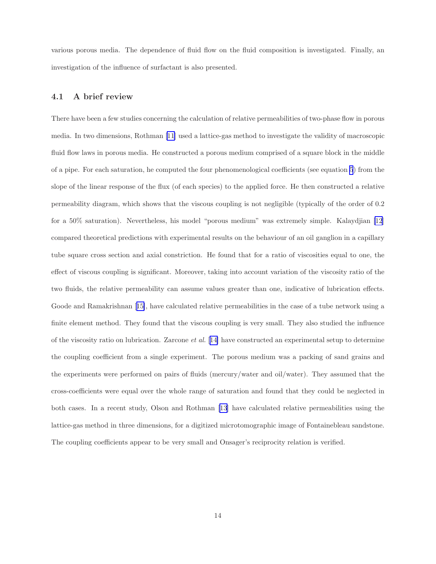<span id="page-13-0"></span>various porous media. The dependence of fluid flow on the fluid composition is investigated. Finally, an investigation of the influence of surfactant is also presented.

## 4.1 A brief review

There have been a few studies concerning the calculation of relative permeabilities of two-phase flow in porous media. In two dimensions, Rothman[[11\]](#page-46-0) used a lattice-gas method to investigate the validity of macroscopic fluid flow laws in porous media. He constructed a porous medium comprised of a square block in the middle of a pipe. For each saturation, he computed the four phenomenological coefficients (see equation [5](#page-18-0)) from the slope of the linear response of the flux (of each species) to the applied force. He then constructed a relative permeability diagram, which shows that the viscous coupling is not negligible (typically of the order of 0.2 for a 50% saturation). Nevertheless, his model "porous medium" was extremely simple. Kalaydjian [\[12](#page-47-0)] compared theoretical predictions with experimental results on the behaviour of an oil ganglion in a capillary tube square cross section and axial constriction. He found that for a ratio of viscosities equal to one, the effect of viscous coupling is significant. Moreover, taking into account variation of the viscosity ratio of the two fluids, the relative permeability can assume values greater than one, indicative of lubrication effects. Goode and Ramakrishnan[[15\]](#page-47-0), have calculated relative permeabilities in the case of a tube network using a finite element method. They found that the viscous coupling is very small. They also studied the influence of the viscosity ratio on lubrication. Zarcone et al. [[14\]](#page-47-0) have constructed an experimental setup to determine the coupling coefficient from a single experiment. The porous medium was a packing of sand grains and the experiments were performed on pairs of fluids (mercury/water and oil/water). They assumed that the cross-coefficients were equal over the whole range of saturation and found that they could be neglected in both cases. In a recent study, Olson and Rothman[[13\]](#page-47-0) have calculated relative permeabilities using the lattice-gas method in three dimensions, for a digitized microtomographic image of Fontainebleau sandstone. The coupling coefficients appear to be very small and Onsager's reciprocity relation is verified.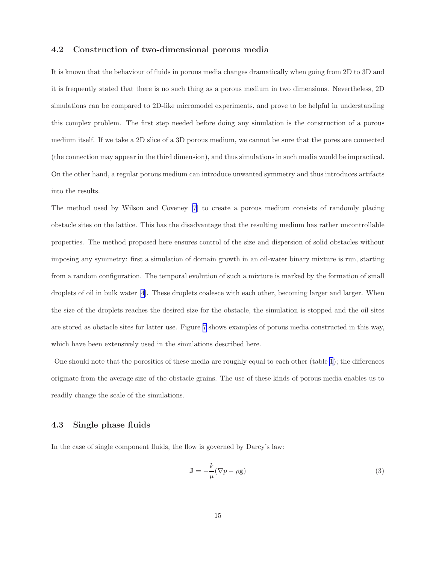## 4.2 Construction of two-dimensional porous media

It is known that the behaviour of fluids in porous media changes dramatically when going from 2D to 3D and it is frequently stated that there is no such thing as a porous medium in two dimensions. Nevertheless, 2D simulations can be compared to 2D-like micromodel experiments, and prove to be helpful in understanding this complex problem. The first step needed before doing any simulation is the construction of a porous medium itself. If we take a 2D slice of a 3D porous medium, we cannot be sure that the pores are connected (the connection may appear in the third dimension), and thus simulations in such media would be impractical. On the other hand, a regular porous medium can introduce unwanted symmetry and thus introduces artifacts into the results.

The method used by Wilson and Coveney [\[7](#page-46-0)] to create a porous medium consists of randomly placing obstacle sites on the lattice. This has the disadvantage that the resulting medium has rather uncontrollable properties. The method proposed here ensures control of the size and dispersion of solid obstacles without imposing any symmetry: first a simulation of domain growth in an oil-water binary mixture is run, starting from a random configuration. The temporal evolution of such a mixture is marked by the formation of small droplets of oil in bulk water [\[4](#page-46-0)]. These droplets coalesce with each other, becoming larger and larger. When the size of the droplets reaches the desired size for the obstacle, the simulation is stopped and the oil sites are stored as obstacle sites for latter use. Figure [7](#page-15-0) shows examples of porous media constructed in this way, which have been extensively used in the simulations described here.

One should note that the porosities of these media are roughly equal to each other (table [1](#page-16-0)); the differences originate from the average size of the obstacle grains. The use of these kinds of porous media enables us to readily change the scale of the simulations.

## 4.3 Single phase fluids

In the case of single component fluids, the flow is governed by Darcy's law:

$$
\mathbf{J} = -\frac{k}{\mu} (\nabla p - \rho \mathbf{g}) \tag{3}
$$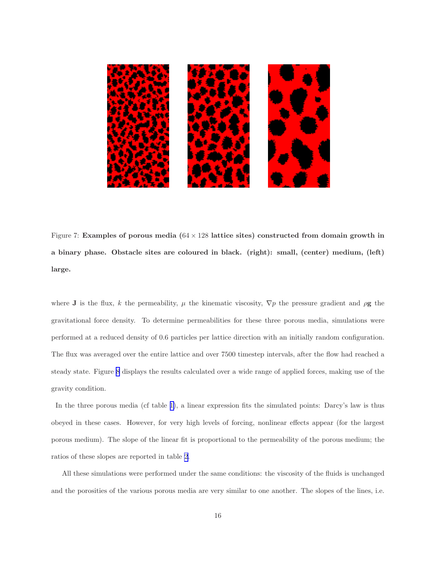<span id="page-15-0"></span>

Figure 7: Examples of porous media  $(64 \times 128)$  lattice sites) constructed from domain growth in a binary phase. Obstacle sites are coloured in black. (right): small, (center) medium, (left) large.

where J is the flux, k the permeability,  $\mu$  the kinematic viscosity,  $\nabla p$  the pressure gradient and  $\rho g$  the gravitational force density. To determine permeabilities for these three porous media, simulations were performed at a reduced density of 0.6 particles per lattice direction with an initially random configuration. The flux was averaged over the entire lattice and over 7500 timestep intervals, after the flow had reached a steady state. Figure [8](#page-17-0) displays the results calculated over a wide range of applied forces, making use of the gravity condition.

In the three porous media (cf table [1\)](#page-16-0), a linear expression fits the simulated points: Darcy's law is thus obeyed in these cases. However, for very high levels of forcing, nonlinear effects appear (for the largest porous medium). The slope of the linear fit is proportional to the permeability of the porous medium; the ratios of these slopes are reported in table [2](#page-16-0).

All these simulations were performed under the same conditions: the viscosity of the fluids is unchanged and the porosities of the various porous media are very similar to one another. The slopes of the lines, i.e.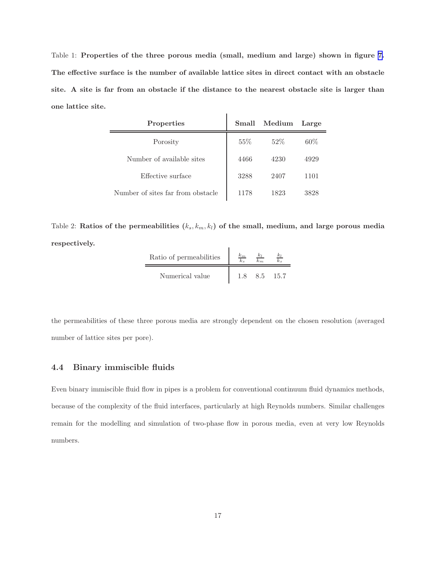<span id="page-16-0"></span>Table 1: Properties of the three porous media (small, medium and large) shown in figure [7.](#page-15-0) The effective surface is the number of available lattice sites in direct contact with an obstacle site. A site is far from an obstacle if the distance to the nearest obstacle site is larger than one lattice site.

| Properties                        | Small  | $\rm_{Median}$ | Large |
|-----------------------------------|--------|----------------|-------|
| Porosity                          | $55\%$ | $52\%$         | 60%   |
| Number of available sites         | 4466   | 4230           | 4929  |
| Effective surface                 | 3288   | 2407           | 1101  |
| Number of sites far from obstacle | 1178   | 1823           | 3828  |

Table 2: Ratios of the permeabilities  $(k_s, k_m, k_l)$  of the small, medium, and large porous media respectively.

| Ratio of permeabilities | $\kappa_m$ |    |      |
|-------------------------|------------|----|------|
| Numerical value         |            | 85 | 15.7 |

the permeabilities of these three porous media are strongly dependent on the chosen resolution (averaged number of lattice sites per pore).

## 4.4 Binary immiscible fluids

Even binary immiscible fluid flow in pipes is a problem for conventional continuum fluid dynamics methods, because of the complexity of the fluid interfaces, particularly at high Reynolds numbers. Similar challenges remain for the modelling and simulation of two-phase flow in porous media, even at very low Reynolds numbers.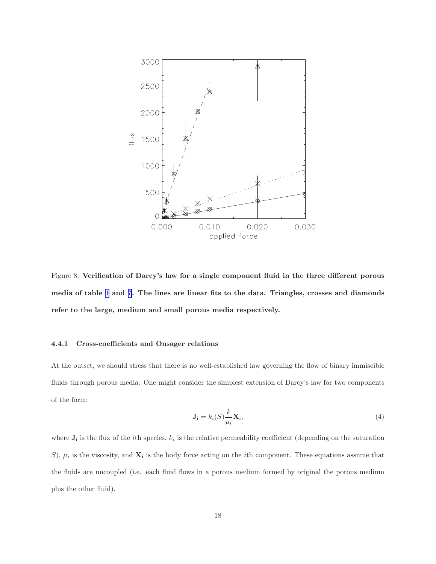<span id="page-17-0"></span>

Figure 8: Verification of Darcy's law for a single component fluid in the three different porous media of table [1](#page-16-0) and [7](#page-15-0). The lines are linear fits to the data. Triangles, crosses and diamonds refer to the large, medium and small porous media respectively.

#### 4.4.1 Cross-coefficients and Onsager relations

At the outset, we should stress that there is no well-established law governing the flow of binary immiscible fluids through porous media. One might consider the simplest extension of Darcy's law for two components of the form:

$$
\mathbf{J_i} = k_i(S) \frac{k}{\mu_i} \mathbf{X_i},\tag{4}
$$

where  $J_i$  is the flux of the *i*th species,  $k_i$  is the relative permeability coefficient (depending on the saturation S),  $\mu_i$  is the viscosity, and  $\mathbf{X}_i$  is the body force acting on the *i*th component. These equations assume that the fluids are uncoupled (i.e. each fluid flows in a porous medium formed by original the porous medium plus the other fluid).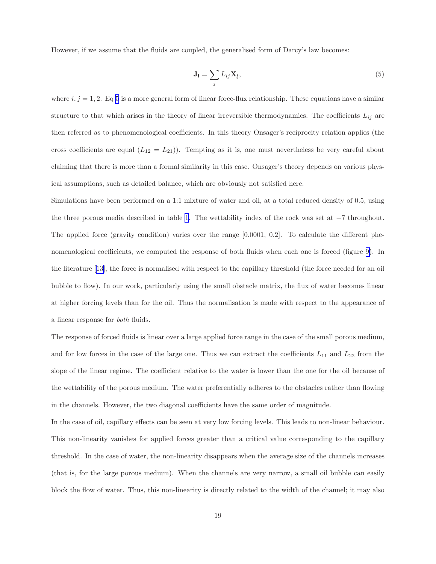<span id="page-18-0"></span>However, if we assume that the fluids are coupled, the generalised form of Darcy's law becomes:

$$
\mathbf{J_i} = \sum_j L_{ij} \mathbf{X_j},\tag{5}
$$

where  $i, j = 1, 2$ . Eq 5 is a more general form of linear force-flux relationship. These equations have a similar structure to that which arises in the theory of linear irreversible thermodynamics. The coefficients  $L_{ij}$  are then referred as to phenomenological coefficients. In this theory Onsager's reciprocity relation applies (the cross coefficients are equal  $(L_{12} = L_{21})$ . Tempting as it is, one must nevertheless be very careful about claiming that there is more than a formal similarity in this case. Onsager's theory depends on various physical assumptions, such as detailed balance, which are obviously not satisfied here.

Simulations have been performed on a 1:1 mixture of water and oil, at a total reduced density of 0.5, using the three porous media described in table [1](#page-16-0). The wettability index of the rock was set at −7 throughout. The applied force (gravity condition) varies over the range [0.0001, 0.2]. To calculate the different phenomenological coefficients, we computed the response of both fluids when each one is forced (figure [9\)](#page-19-0). In the literature [\[13](#page-47-0)], the force is normalised with respect to the capillary threshold (the force needed for an oil bubble to flow). In our work, particularly using the small obstacle matrix, the flux of water becomes linear at higher forcing levels than for the oil. Thus the normalisation is made with respect to the appearance of a linear response for both fluids.

The response of forced fluids is linear over a large applied force range in the case of the small porous medium, and for low forces in the case of the large one. Thus we can extract the coefficients  $L_{11}$  and  $L_{22}$  from the slope of the linear regime. The coefficient relative to the water is lower than the one for the oil because of the wettability of the porous medium. The water preferentially adheres to the obstacles rather than flowing in the channels. However, the two diagonal coefficients have the same order of magnitude.

In the case of oil, capillary effects can be seen at very low forcing levels. This leads to non-linear behaviour. This non-linearity vanishes for applied forces greater than a critical value corresponding to the capillary threshold. In the case of water, the non-linearity disappears when the average size of the channels increases (that is, for the large porous medium). When the channels are very narrow, a small oil bubble can easily block the flow of water. Thus, this non-linearity is directly related to the width of the channel; it may also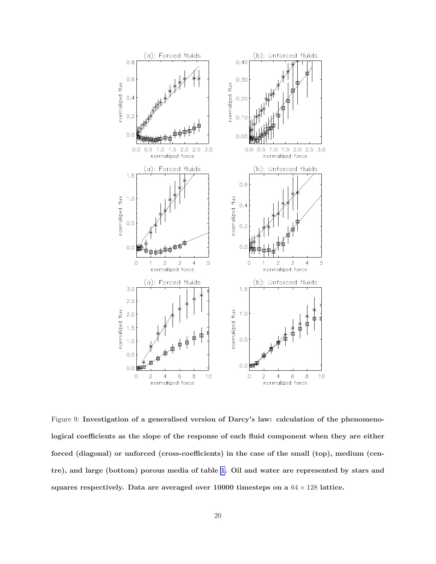<span id="page-19-0"></span>

Figure 9: Investigation of a generalised version of Darcy's law: calculation of the phenomenological coefficients as the slope of the response of each fluid component when they are either forced (diagonal) or unforced (cross-coefficients) in the case of the small (top), medium (centre), and large (bottom) porous media of table [1](#page-16-0). Oil and water are represented by stars and squares respectively. Data are averaged over  $10000$  timesteps on a  $64 \times 128$  lattice.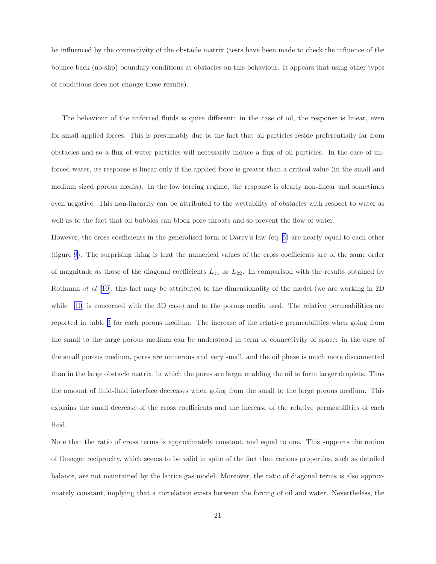be influenced by the connectivity of the obstacle matrix (tests have been made to check the influence of the bounce-back (no-slip) boundary conditions at obstacles on this behaviour. It appears that using other types of conditions does not change these results).

The behaviour of the unforced fluids is quite different: in the case of oil, the response is linear, even for small applied forces. This is presumably due to the fact that oil particles reside preferentially far from obstacles and so a flux of water particles will necessarily induce a flux of oil particles. In the case of unforced water, its response is linear only if the applied force is greater than a critical value (in the small and medium sized porous media). In the low forcing regime, the response is clearly non-linear and sometimes even negative. This non-linearity can be attributed to the wettability of obstacles with respect to water as well as to the fact that oil bubbles can block pore throats and so prevent the flow of water.

However, the cross-coefficients in the generalised form of Darcy's law (eq. [5\)](#page-18-0) are nearly equal to each other (figure [9\)](#page-19-0). The surprising thing is that the numerical values of the cross coefficients are of the same order of magnitude as those of the diagonal coefficients  $L_{11}$  or  $L_{22}$ . In comparison with the results obtained by Rothman *et al* [\[10](#page-46-0)], this fact may be attributed to the dimensionality of the model (we are working in 2D) while [\[10](#page-46-0)] is concerned with the 3D case) and to the porous media used. The relative permeabilities are reported in table [3](#page-21-0) for each porous medium. The increase of the relative permeabilities when going from the small to the large porous medium can be understood in term of connectivity of space: in the case of the small porous medium, pores are numerous and very small, and the oil phase is much more disconnected than in the large obstacle matrix, in which the pores are large, enabling the oil to form larger droplets. Thus the amount of fluid-fluid interface decreases when going from the small to the large porous medium. This explains the small decrease of the cross coefficients and the increase of the relative permeabilities of each fluid.

Note that the ratio of cross terms is approximately constant, and equal to one. This supports the notion of Onsager reciprocity, which seems to be valid in spite of the fact that various properties, such as detailed balance, are not maintained by the lattice gas model. Moreover, the ratio of diagonal terms is also approximately constant, implying that a correlation exists between the forcing of oil and water. Nevertheless, the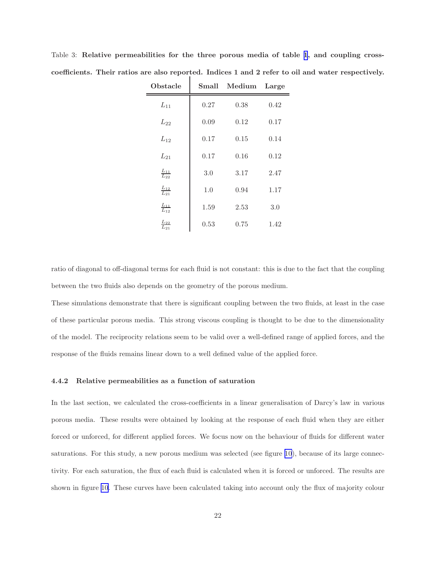| Obstacle                | Small | $\rm_{Median}$ | Large |
|-------------------------|-------|----------------|-------|
| $L_{11}$                | 0.27  | 0.38           | 0.42  |
| $L_{22}$                | 0.09  | 0.12           | 0.17  |
| $L_{12}$                | 0.17  | 0.15           | 0.14  |
| $L_{21}$                | 0.17  | 0.16           | 0.12  |
| $\frac{L_{11}}{L_{22}}$ | 3.0   | 3.17           | 2.47  |
| $\frac{L_{12}}{L_{21}}$ | 1.0   | 0.94           | 1.17  |
| $\frac{L_{11}}{L_{12}}$ | 1.59  | 2.53           | 3.0   |
| $\frac{L_{22}}{L_{21}}$ | 0.53  | 0.75           | 1.42  |

<span id="page-21-0"></span>Table 3: Relative permeabilities for the three porous media of table [1](#page-16-0), and coupling crosscoefficients. Their ratios are also reported. Indices 1 and 2 refer to oil and water respectively.

ratio of diagonal to off-diagonal terms for each fluid is not constant: this is due to the fact that the coupling between the two fluids also depends on the geometry of the porous medium.

These simulations demonstrate that there is significant coupling between the two fluids, at least in the case of these particular porous media. This strong viscous coupling is thought to be due to the dimensionality of the model. The reciprocity relations seem to be valid over a well-defined range of applied forces, and the response of the fluids remains linear down to a well defined value of the applied force.

#### 4.4.2 Relative permeabilities as a function of saturation

In the last section, we calculated the cross-coefficients in a linear generalisation of Darcy's law in various porous media. These results were obtained by looking at the response of each fluid when they are either forced or unforced, for different applied forces. We focus now on the behaviour of fluids for different water saturations. For this study, a new porous medium was selected (see figure [10](#page-22-0)), because of its large connectivity. For each saturation, the flux of each fluid is calculated when it is forced or unforced. The results are shown in figure [10](#page-22-0). These curves have been calculated taking into account only the flux of majority colour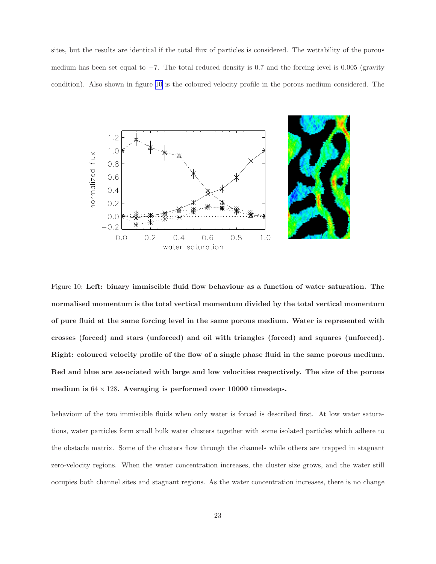<span id="page-22-0"></span>sites, but the results are identical if the total flux of particles is considered. The wettability of the porous medium has been set equal to  $-7$ . The total reduced density is 0.7 and the forcing level is 0.005 (gravity condition). Also shown in figure 10 is the coloured velocity profile in the porous medium considered. The



Figure 10: Left: binary immiscible fluid flow behaviour as a function of water saturation. The normalised momentum is the total vertical momentum divided by the total vertical momentum of pure fluid at the same forcing level in the same porous medium. Water is represented with crosses (forced) and stars (unforced) and oil with triangles (forced) and squares (unforced). Right: coloured velocity profile of the flow of a single phase fluid in the same porous medium. Red and blue are associated with large and low velocities respectively. The size of the porous medium is  $64 \times 128$ . Averaging is performed over 10000 timesteps.

behaviour of the two immiscible fluids when only water is forced is described first. At low water saturations, water particles form small bulk water clusters together with some isolated particles which adhere to the obstacle matrix. Some of the clusters flow through the channels while others are trapped in stagnant zero-velocity regions. When the water concentration increases, the cluster size grows, and the water still occupies both channel sites and stagnant regions. As the water concentration increases, there is no change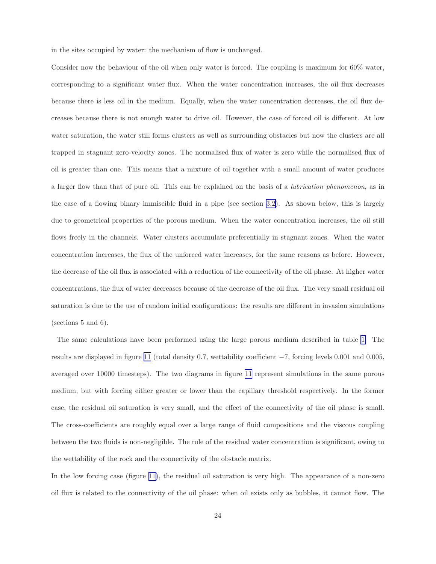in the sites occupied by water: the mechanism of flow is unchanged.

Consider now the behaviour of the oil when only water is forced. The coupling is maximum for 60% water, corresponding to a significant water flux. When the water concentration increases, the oil flux decreases because there is less oil in the medium. Equally, when the water concentration decreases, the oil flux decreases because there is not enough water to drive oil. However, the case of forced oil is different. At low water saturation, the water still forms clusters as well as surrounding obstacles but now the clusters are all trapped in stagnant zero-velocity zones. The normalised flux of water is zero while the normalised flux of oil is greater than one. This means that a mixture of oil together with a small amount of water produces a larger flow than that of pure oil. This can be explained on the basis of a lubrication phenomenon, as in the case of a flowing binary immiscible fluid in a pipe (see section [3.2\)](#page-5-0). As shown below, this is largely due to geometrical properties of the porous medium. When the water concentration increases, the oil still flows freely in the channels. Water clusters accumulate preferentially in stagnant zones. When the water concentration increases, the flux of the unforced water increases, for the same reasons as before. However, the decrease of the oil flux is associated with a reduction of the connectivity of the oil phase. At higher water concentrations, the flux of water decreases because of the decrease of the oil flux. The very small residual oil saturation is due to the use of random initial configurations: the results are different in invasion simulations (sections 5 and 6).

The same calculations have been performed using the large porous medium described in table [1.](#page-16-0) The results are displayed in figure [11](#page-24-0) (total density 0.7, wettability coefficient −7, forcing levels 0.001 and 0.005, averaged over 10000 timesteps). The two diagrams in figure [11](#page-24-0) represent simulations in the same porous medium, but with forcing either greater or lower than the capillary threshold respectively. In the former case, the residual oil saturation is very small, and the effect of the connectivity of the oil phase is small. The cross-coefficients are roughly equal over a large range of fluid compositions and the viscous coupling between the two fluids is non-negligible. The role of the residual water concentration is significant, owing to the wettability of the rock and the connectivity of the obstacle matrix.

In the low forcing case (figure [11\)](#page-24-0), the residual oil saturation is very high. The appearance of a non-zero oil flux is related to the connectivity of the oil phase: when oil exists only as bubbles, it cannot flow. The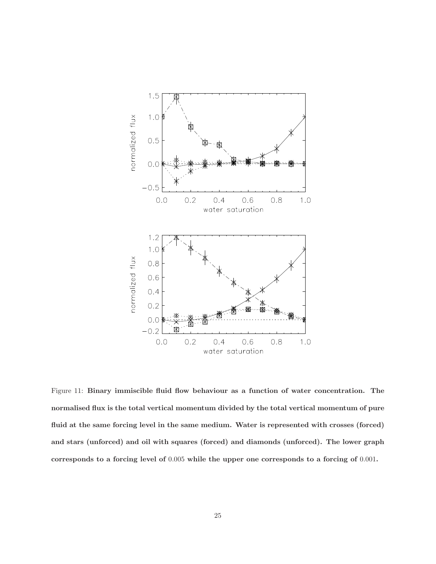<span id="page-24-0"></span>

Figure 11: Binary immiscible fluid flow behaviour as a function of water concentration. The normalised flux is the total vertical momentum divided by the total vertical momentum of pure fluid at the same forcing level in the same medium. Water is represented with crosses (forced) and stars (unforced) and oil with squares (forced) and diamonds (unforced). The lower graph corresponds to a forcing level of 0.005 while the upper one corresponds to a forcing of 0.001.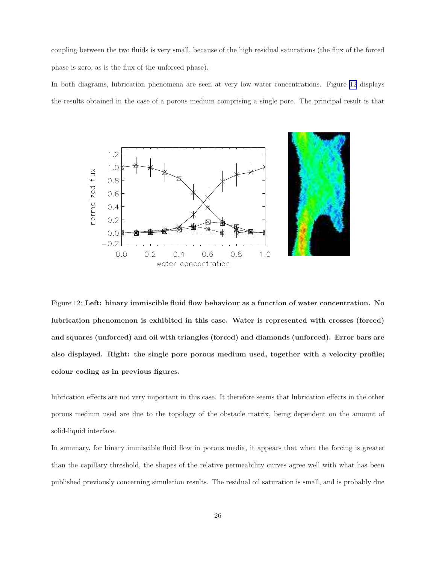<span id="page-25-0"></span>coupling between the two fluids is very small, because of the high residual saturations (the flux of the forced phase is zero, as is the flux of the unforced phase).

In both diagrams, lubrication phenomena are seen at very low water concentrations. Figure 12 displays the results obtained in the case of a porous medium comprising a single pore. The principal result is that



Figure 12: Left: binary immiscible fluid flow behaviour as a function of water concentration. No lubrication phenomenon is exhibited in this case. Water is represented with crosses (forced) and squares (unforced) and oil with triangles (forced) and diamonds (unforced). Error bars are also displayed. Right: the single pore porous medium used, together with a velocity profile; colour coding as in previous figures.

lubrication effects are not very important in this case. It therefore seems that lubrication effects in the other porous medium used are due to the topology of the obstacle matrix, being dependent on the amount of solid-liquid interface.

In summary, for binary immiscible fluid flow in porous media, it appears that when the forcing is greater than the capillary threshold, the shapes of the relative permeability curves agree well with what has been published previously concerning simulation results. The residual oil saturation is small, and is probably due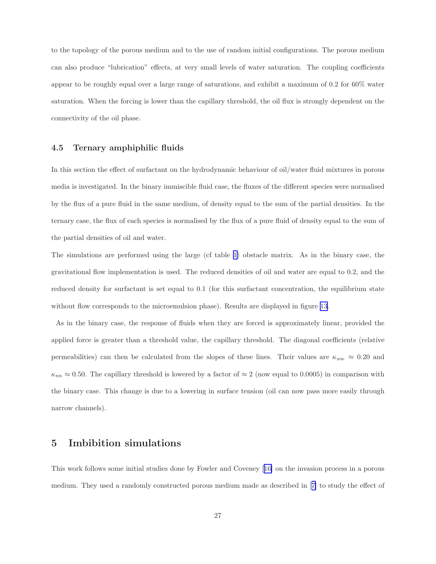<span id="page-26-0"></span>to the topology of the porous medium and to the use of random initial configurations. The porous medium can also produce "lubrication" effects, at very small levels of water saturation. The coupling coefficients appear to be roughly equal over a large range of saturations, and exhibit a maximum of 0.2 for 60% water saturation. When the forcing is lower than the capillary threshold, the oil flux is strongly dependent on the connectivity of the oil phase.

## 4.5 Ternary amphiphilic fluids

In this section the effect of surfactant on the hydrodynamic behaviour of oil/water fluid mixtures in porous media is investigated. In the binary immiscible fluid case, the fluxes of the different species were normalised by the flux of a pure fluid in the same medium, of density equal to the sum of the partial densities. In the ternary case, the flux of each species is normalised by the flux of a pure fluid of density equal to the sum of the partial densities of oil and water.

The simulations are performed using the large (cf table [1\)](#page-16-0) obstacle matrix. As in the binary case, the gravitational flow implementation is used. The reduced densities of oil and water are equal to 0.2, and the reduced density for surfactant is set equal to 0.1 (for this surfactant concentration, the equilibrium state without flow corresponds to the microemulsion phase). Results are displayed in figure [13.](#page-27-0)

As in the binary case, the response of fluids when they are forced is approximately linear, provided the applied force is greater than a threshold value, the capillary threshold. The diagonal coefficients (relative permeabilities) can then be calculated from the slopes of these lines. Their values are  $\kappa_{ww} \approx 0.20$  and  $\kappa_{nn} \approx 0.50$ . The capillary threshold is lowered by a factor of  $\approx 2$  (now equal to 0.0005) in comparison with the binary case. This change is due to a lowering in surface tension (oil can now pass more easily through narrow channels).

# 5 Imbibition simulations

This work follows some initial studies done by Fowler and Coveney[[16\]](#page-47-0) on the invasion process in a porous medium. They used a randomly constructed porous medium made as described in[[7\]](#page-46-0) to study the effect of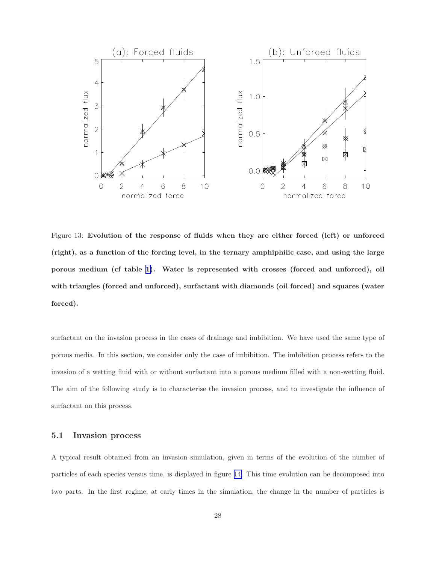<span id="page-27-0"></span>

Figure 13: Evolution of the response of fluids when they are either forced (left) or unforced (right), as a function of the forcing level, in the ternary amphiphilic case, and using the large porous medium (cf table [1\)](#page-16-0). Water is represented with crosses (forced and unforced), oil with triangles (forced and unforced), surfactant with diamonds (oil forced) and squares (water forced).

surfactant on the invasion process in the cases of drainage and imbibition. We have used the same type of porous media. In this section, we consider only the case of imbibition. The imbibition process refers to the invasion of a wetting fluid with or without surfactant into a porous medium filled with a non-wetting fluid. The aim of the following study is to characterise the invasion process, and to investigate the influence of surfactant on this process.

## 5.1 Invasion process

A typical result obtained from an invasion simulation, given in terms of the evolution of the number of particles of each species versus time, is displayed in figure [14.](#page-28-0) This time evolution can be decomposed into two parts. In the first regime, at early times in the simulation, the change in the number of particles is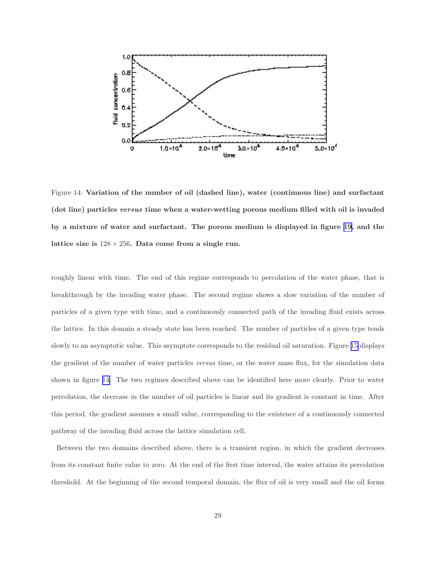<span id="page-28-0"></span>

Figure 14: Variation of the number of oil (dashed line), water (continuous line) and surfactant (dot line) particles versus time when a water-wetting porous medium filled with oil is invaded by a mixture of water and surfactant. The porous medium is displayed in figure [19](#page-34-0), and the lattice size is  $128 \times 256$ . Data come from a single run.

roughly linear with time. The end of this regime corresponds to percolation of the water phase, that is breakthrough by the invading water phase. The second regime shows a slow variation of the number of particles of a given type with time, and a continuously connected path of the invading fluid exists across the lattice. In this domain a steady state has been reached. The number of particles of a given type tends slowly to an asymptotic value. This asymptote corresponds to the residual oil saturation. Figure [15](#page-29-0) displays the gradient of the number of water particles versus time, or the water mass flux, for the simulation data shown in figure 14. The two regimes described above can be identified here more clearly. Prior to water percolation, the decrease in the number of oil particles is linear and its gradient is constant in time. After this period, the gradient assumes a small value, corresponding to the existence of a continuously connected pathway of the invading fluid across the lattice simulation cell.

Between the two domains described above, there is a transient region, in which the gradient decreases from its constant finite value to zero. At the end of the first time interval, the water attains its percolation threshold. At the beginning of the second temporal domain, the flux of oil is very small and the oil forms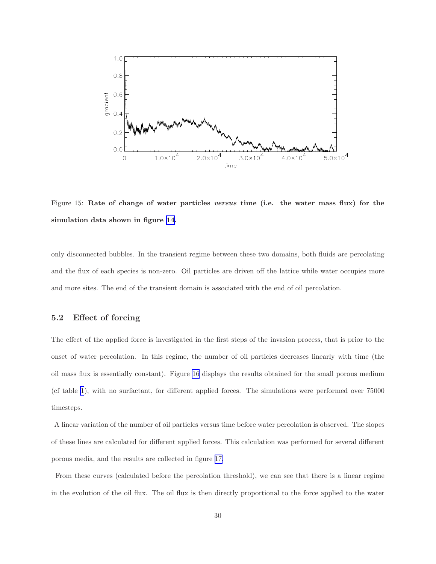<span id="page-29-0"></span>

Figure 15: Rate of change of water particles versus time (i.e. the water mass flux) for the simulation data shown in figure [14](#page-28-0).

only disconnected bubbles. In the transient regime between these two domains, both fluids are percolating and the flux of each species is non-zero. Oil particles are driven off the lattice while water occupies more and more sites. The end of the transient domain is associated with the end of oil percolation.

## 5.2 Effect of forcing

The effect of the applied force is investigated in the first steps of the invasion process, that is prior to the onset of water percolation. In this regime, the number of oil particles decreases linearly with time (the oil mass flux is essentially constant). Figure [16](#page-30-0) displays the results obtained for the small porous medium (cf table [1](#page-16-0)), with no surfactant, for different applied forces. The simulations were performed over 75000 timesteps.

A linear variation of the number of oil particles versus time before water percolation is observed. The slopes of these lines are calculated for different applied forces. This calculation was performed for several different porous media, and the results are collected in figure [17.](#page-31-0)

From these curves (calculated before the percolation threshold), we can see that there is a linear regime in the evolution of the oil flux. The oil flux is then directly proportional to the force applied to the water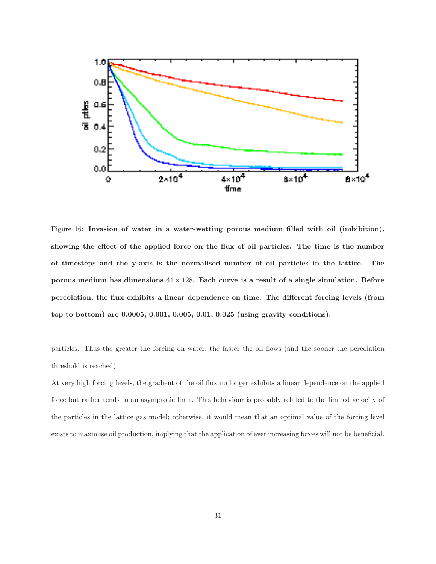<span id="page-30-0"></span>

Figure 16: Invasion of water in a water-wetting porous medium filled with oil (imbibition), showing the effect of the applied force on the flux of oil particles. The time is the number of timesteps and the y-axis is the normalised number of oil particles in the lattice. The porous medium has dimensions  $64 \times 128$ . Each curve is a result of a single simulation. Before percolation, the flux exhibits a linear dependence on time. The different forcing levels (from top to bottom) are 0.0005, 0.001, 0.005, 0.01, 0.025 (using gravity conditions).

particles. Thus the greater the forcing on water, the faster the oil flows (and the sooner the percolation threshold is reached).

At very high forcing levels, the gradient of the oil flux no longer exhibits a linear dependence on the applied force but rather tends to an asymptotic limit. This behaviour is probably related to the limited velocity of the particles in the lattice gas model; otherwise, it would mean that an optimal value of the forcing level exists to maximise oil production, implying that the application of ever increasing forces will not be beneficial.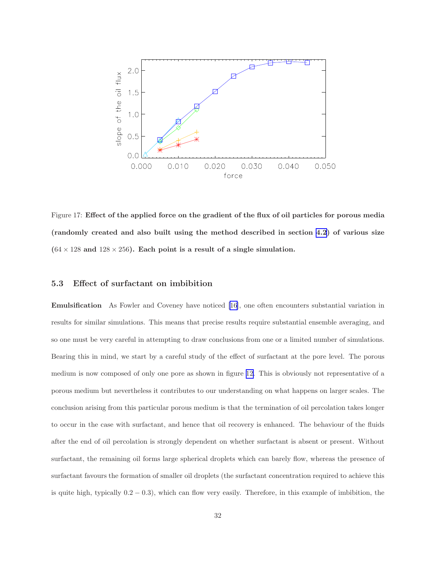<span id="page-31-0"></span>

Figure 17: Effect of the applied force on the gradient of the flux of oil particles for porous media (randomly created and also built using the method described in section [4.2](#page-13-0)) of various size  $(64 \times 128$  and  $128 \times 256$ . Each point is a result of a single simulation.

# 5.3 Effect of surfactant on imbibition

Emulsification As Fowler and Coveney have noticed [\[16](#page-47-0)], one often encounters substantial variation in results for similar simulations. This means that precise results require substantial ensemble averaging, and so one must be very careful in attempting to draw conclusions from one or a limited number of simulations. Bearing this in mind, we start by a careful study of the effect of surfactant at the pore level. The porous medium is now composed of only one pore as shown in figure [12.](#page-25-0) This is obviously not representative of a porous medium but nevertheless it contributes to our understanding on what happens on larger scales. The conclusion arising from this particular porous medium is that the termination of oil percolation takes longer to occur in the case with surfactant, and hence that oil recovery is enhanced. The behaviour of the fluids after the end of oil percolation is strongly dependent on whether surfactant is absent or present. Without surfactant, the remaining oil forms large spherical droplets which can barely flow, whereas the presence of surfactant favours the formation of smaller oil droplets (the surfactant concentration required to achieve this is quite high, typically  $0.2 - 0.3$ ), which can flow very easily. Therefore, in this example of imbibition, the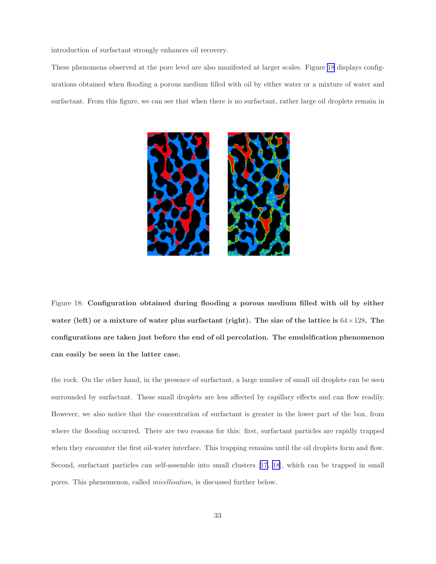introduction of surfactant strongly enhances oil recovery.

These phenomena observed at the pore level are also manifested at larger scales. Figure 18 displays configurations obtained when flooding a porous medium filled with oil by either water or a mixture of water and surfactant. From this figure, we can see that when there is no surfactant, rather large oil droplets remain in



Figure 18: Configuration obtained during flooding a porous medium filled with oil by either water (left) or a mixture of water plus surfactant (right). The size of the lattice is  $64\times128$ . The configurations are taken just before the end of oil percolation. The emulsification phenomenon can easily be seen in the latter case.

the rock. On the other hand, in the presence of surfactant, a large number of small oil droplets can be seen surrounded by surfactant. These small droplets are less affected by capillary effects and can flow readily. However, we also notice that the concentration of surfactant is greater in the lower part of the box, from where the flooding occurred. There are two reasons for this: first, surfactant particles are rapidly trapped when they encounter the first oil-water interface. This trapping remains until the oil droplets form and flow. Second, surfactant particles can self-assemble into small clusters[[17, 18\]](#page-47-0), which can be trapped in small pores. This phenomenon, called micellisation, is discussed further below.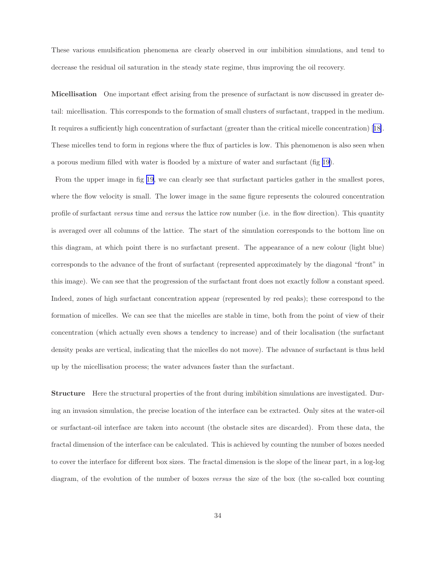These various emulsification phenomena are clearly observed in our imbibition simulations, and tend to decrease the residual oil saturation in the steady state regime, thus improving the oil recovery.

Micellisation One important effect arising from the presence of surfactant is now discussed in greater detail: micellisation. This corresponds to the formation of small clusters of surfactant, trapped in the medium. It requires a sufficiently high concentration of surfactant (greater than the critical micelle concentration)[[18\]](#page-47-0). These micelles tend to form in regions where the flux of particles is low. This phenomenon is also seen when a porous medium filled with water is flooded by a mixture of water and surfactant (fig [19\)](#page-34-0).

From the upper image in fig [19,](#page-34-0) we can clearly see that surfactant particles gather in the smallest pores, where the flow velocity is small. The lower image in the same figure represents the coloured concentration profile of surfactant versus time and versus the lattice row number (i.e. in the flow direction). This quantity is averaged over all columns of the lattice. The start of the simulation corresponds to the bottom line on this diagram, at which point there is no surfactant present. The appearance of a new colour (light blue) corresponds to the advance of the front of surfactant (represented approximately by the diagonal "front" in this image). We can see that the progression of the surfactant front does not exactly follow a constant speed. Indeed, zones of high surfactant concentration appear (represented by red peaks); these correspond to the formation of micelles. We can see that the micelles are stable in time, both from the point of view of their concentration (which actually even shows a tendency to increase) and of their localisation (the surfactant density peaks are vertical, indicating that the micelles do not move). The advance of surfactant is thus held up by the micellisation process; the water advances faster than the surfactant.

Structure Here the structural properties of the front during imbibition simulations are investigated. During an invasion simulation, the precise location of the interface can be extracted. Only sites at the water-oil or surfactant-oil interface are taken into account (the obstacle sites are discarded). From these data, the fractal dimension of the interface can be calculated. This is achieved by counting the number of boxes needed to cover the interface for different box sizes. The fractal dimension is the slope of the linear part, in a log-log diagram, of the evolution of the number of boxes versus the size of the box (the so-called box counting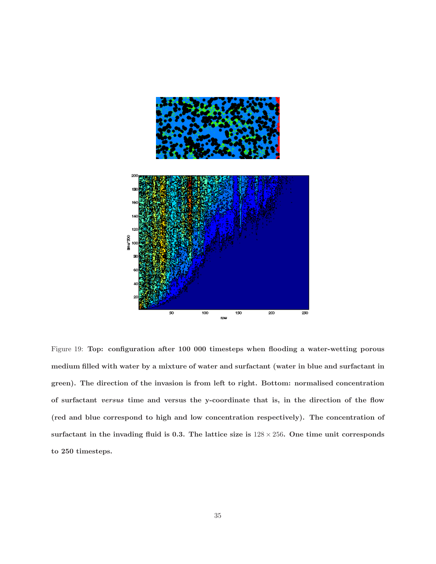<span id="page-34-0"></span>

Figure 19: Top: configuration after 100 000 timesteps when flooding a water-wetting porous medium filled with water by a mixture of water and surfactant (water in blue and surfactant in green). The direction of the invasion is from left to right. Bottom: normalised concentration of surfactant versus time and versus the y-coordinate that is, in the direction of the flow (red and blue correspond to high and low concentration respectively). The concentration of surfactant in the invading fluid is 0.3. The lattice size is  $128 \times 256$ . One time unit corresponds to 250 timesteps.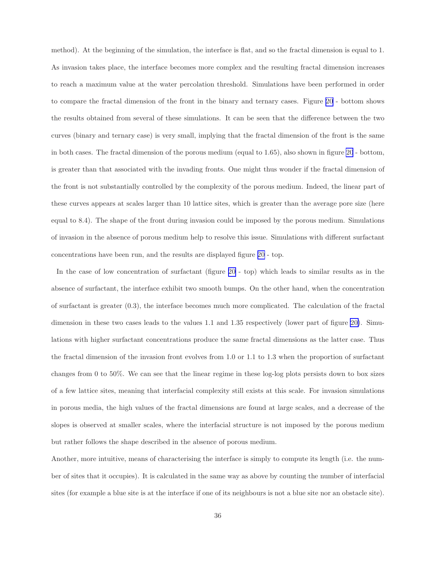method). At the beginning of the simulation, the interface is flat, and so the fractal dimension is equal to 1. As invasion takes place, the interface becomes more complex and the resulting fractal dimension increases to reach a maximum value at the water percolation threshold. Simulations have been performed in order to compare the fractal dimension of the front in the binary and ternary cases. Figure [20](#page-36-0) - bottom shows the results obtained from several of these simulations. It can be seen that the difference between the two curves (binary and ternary case) is very small, implying that the fractal dimension of the front is the same in both cases. The fractal dimension of the porous medium (equal to 1.65), also shown in figure [20](#page-36-0) - bottom, is greater than that associated with the invading fronts. One might thus wonder if the fractal dimension of the front is not substantially controlled by the complexity of the porous medium. Indeed, the linear part of these curves appears at scales larger than 10 lattice sites, which is greater than the average pore size (here equal to 8.4). The shape of the front during invasion could be imposed by the porous medium. Simulations of invasion in the absence of porous medium help to resolve this issue. Simulations with different surfactant concentrations have been run, and the results are displayed figure [20](#page-36-0) - top.

In the case of low concentration of surfactant (figure [20](#page-36-0) - top) which leads to similar results as in the absence of surfactant, the interface exhibit two smooth bumps. On the other hand, when the concentration of surfactant is greater (0.3), the interface becomes much more complicated. The calculation of the fractal dimension in these two cases leads to the values 1.1 and 1.35 respectively (lower part of figure [20\)](#page-36-0). Simulations with higher surfactant concentrations produce the same fractal dimensions as the latter case. Thus the fractal dimension of the invasion front evolves from 1.0 or 1.1 to 1.3 when the proportion of surfactant changes from 0 to 50%. We can see that the linear regime in these log-log plots persists down to box sizes of a few lattice sites, meaning that interfacial complexity still exists at this scale. For invasion simulations in porous media, the high values of the fractal dimensions are found at large scales, and a decrease of the slopes is observed at smaller scales, where the interfacial structure is not imposed by the porous medium but rather follows the shape described in the absence of porous medium.

Another, more intuitive, means of characterising the interface is simply to compute its length (i.e. the number of sites that it occupies). It is calculated in the same way as above by counting the number of interfacial sites (for example a blue site is at the interface if one of its neighbours is not a blue site nor an obstacle site).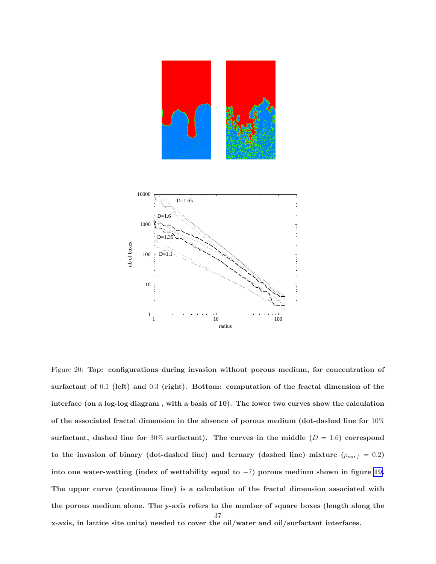<span id="page-36-0"></span>

Figure 20: Top: configurations during invasion without porous medium, for concentration of surfactant of 0.1 (left) and 0.3 (right). Bottom: computation of the fractal dimension of the interface (on a log-log diagram , with a basis of 10). The lower two curves show the calculation of the associated fractal dimension in the absence of porous medium (dot-dashed line for 10% surfactant, dashed line for 30% surfactant). The curves in the middle  $(D = 1.6)$  correspond to the invasion of binary (dot-dashed line) and ternary (dashed line) mixture ( $\rho_{surf} = 0.2$ ) into one water-wetting (index of wettability equal to −7) porous medium shown in figure [19.](#page-34-0) The upper curve (continuous line) is a calculation of the fractal dimension associated with the porous medium alone. The y-axis refers to the number of square boxes (length along the x-axis, in lattice site units) needed to cover the oil/water and oil/surfactant interfaces. 37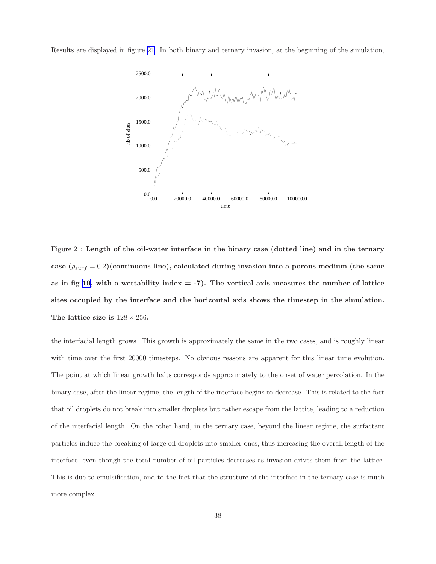Results are displayed in figure 21. In both binary and ternary invasion, at the beginning of the simulation,



Figure 21: Length of the oil-water interface in the binary case (dotted line) and in the ternary case  $(\rho_{surf} = 0.2)($  continuous line), calculated during invasion into a porous medium (the same as in fig [19](#page-34-0), with a wettability index  $=$  -7). The vertical axis measures the number of lattice sites occupied by the interface and the horizontal axis shows the timestep in the simulation. The lattice size is  $128 \times 256$ .

the interfacial length grows. This growth is approximately the same in the two cases, and is roughly linear with time over the first 20000 timesteps. No obvious reasons are apparent for this linear time evolution. The point at which linear growth halts corresponds approximately to the onset of water percolation. In the binary case, after the linear regime, the length of the interface begins to decrease. This is related to the fact that oil droplets do not break into smaller droplets but rather escape from the lattice, leading to a reduction of the interfacial length. On the other hand, in the ternary case, beyond the linear regime, the surfactant particles induce the breaking of large oil droplets into smaller ones, thus increasing the overall length of the interface, even though the total number of oil particles decreases as invasion drives them from the lattice. This is due to emulsification, and to the fact that the structure of the interface in the ternary case is much more complex.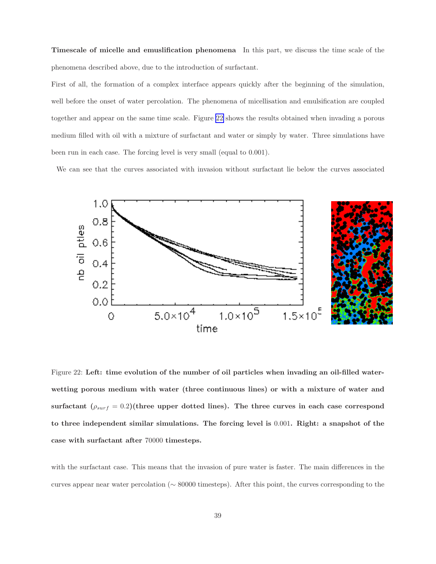<span id="page-38-0"></span>Timescale of micelle and emuslification phenomena In this part, we discuss the time scale of the phenomena described above, due to the introduction of surfactant.

First of all, the formation of a complex interface appears quickly after the beginning of the simulation, well before the onset of water percolation. The phenomena of micellisation and emulsification are coupled together and appear on the same time scale. Figure 22 shows the results obtained when invading a porous medium filled with oil with a mixture of surfactant and water or simply by water. Three simulations have been run in each case. The forcing level is very small (equal to 0.001).

We can see that the curves associated with invasion without surfactant lie below the curves associated



Figure 22: Left: time evolution of the number of oil particles when invading an oil-filled waterwetting porous medium with water (three continuous lines) or with a mixture of water and surfactant  $(\rho_{surf} = 0.2)$ (three upper dotted lines). The three curves in each case correspond to three independent similar simulations. The forcing level is 0.001. Right: a snapshot of the case with surfactant after 70000 timesteps.

with the surfactant case. This means that the invasion of pure water is faster. The main differences in the curves appear near water percolation (∼ 80000 timesteps). After this point, the curves corresponding to the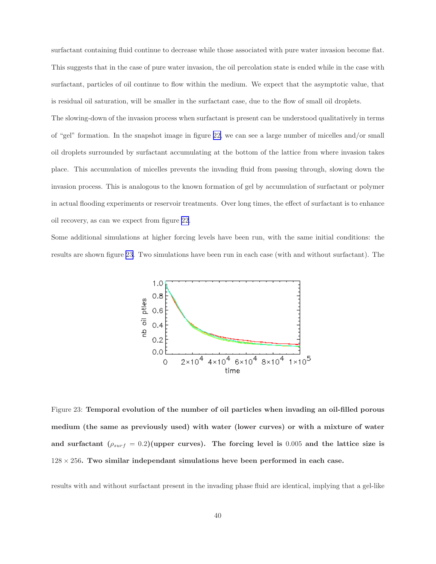surfactant containing fluid continue to decrease while those associated with pure water invasion become flat. This suggests that in the case of pure water invasion, the oil percolation state is ended while in the case with surfactant, particles of oil continue to flow within the medium. We expect that the asymptotic value, that is residual oil saturation, will be smaller in the surfactant case, due to the flow of small oil droplets.

The slowing-down of the invasion process when surfactant is present can be understood qualitatively in terms of "gel" formation. In the snapshot image in figure [22,](#page-38-0) we can see a large number of micelles and/or small oil droplets surrounded by surfactant accumulating at the bottom of the lattice from where invasion takes place. This accumulation of micelles prevents the invading fluid from passing through, slowing down the invasion process. This is analogous to the known formation of gel by accumulation of surfactant or polymer in actual flooding experiments or reservoir treatments. Over long times, the effect of surfactant is to enhance oil recovery, as can we expect from figure [22](#page-38-0).

Some additional simulations at higher forcing levels have been run, with the same initial conditions: the results are shown figure 23. Two simulations have been run in each case (with and without surfactant). The



Figure 23: Temporal evolution of the number of oil particles when invading an oil-filled porous medium (the same as previously used) with water (lower curves) or with a mixture of water and surfactant  $(\rho_{surf} = 0.2)$ (upper curves). The forcing level is 0.005 and the lattice size is  $128 \times 256$ . Two similar independant simulations heve been performed in each case.

results with and without surfactant present in the invading phase fluid are identical, implying that a gel-like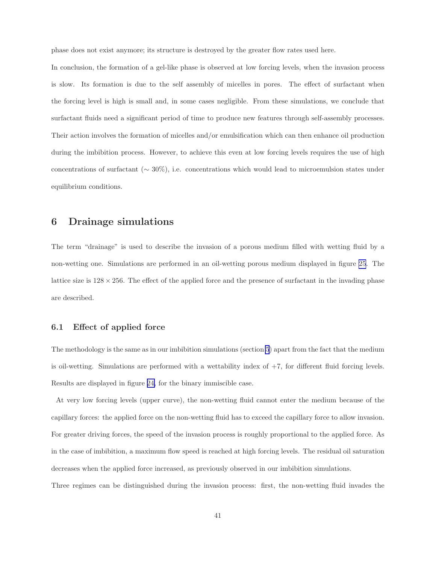phase does not exist anymore; its structure is destroyed by the greater flow rates used here.

In conclusion, the formation of a gel-like phase is observed at low forcing levels, when the invasion process is slow. Its formation is due to the self assembly of micelles in pores. The effect of surfactant when the forcing level is high is small and, in some cases negligible. From these simulations, we conclude that surfactant fluids need a significant period of time to produce new features through self-assembly processes. Their action involves the formation of micelles and/or emulsification which can then enhance oil production during the imbibition process. However, to achieve this even at low forcing levels requires the use of high concentrations of surfactant ( $\sim 30\%$ ), i.e. concentrations which would lead to microemulsion states under equilibrium conditions.

# 6 Drainage simulations

The term "drainage" is used to describe the invasion of a porous medium filled with wetting fluid by a non-wetting one. Simulations are performed in an oil-wetting porous medium displayed in figure [25](#page-42-0). The lattice size is  $128 \times 256$ . The effect of the applied force and the presence of surfactant in the invading phase are described.

## 6.1 Effect of applied force

The methodology is the same as in our imbibition simulations (section [5](#page-26-0)) apart from the fact that the medium is oil-wetting. Simulations are performed with a wettability index of  $+7$ , for different fluid forcing levels. Results are displayed in figure [24,](#page-41-0) for the binary immiscible case.

At very low forcing levels (upper curve), the non-wetting fluid cannot enter the medium because of the capillary forces: the applied force on the non-wetting fluid has to exceed the capillary force to allow invasion. For greater driving forces, the speed of the invasion process is roughly proportional to the applied force. As in the case of imbibition, a maximum flow speed is reached at high forcing levels. The residual oil saturation decreases when the applied force increased, as previously observed in our imbibition simulations.

Three regimes can be distinguished during the invasion process: first, the non-wetting fluid invades the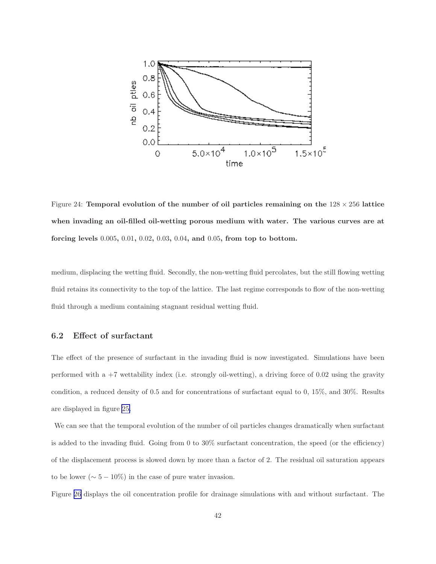<span id="page-41-0"></span>

Figure 24: Temporal evolution of the number of oil particles remaining on the  $128 \times 256$  lattice when invading an oil-filled oil-wetting porous medium with water. The various curves are at forcing levels 0.005, 0.01, 0.02, 0.03, 0.04, and 0.05, from top to bottom.

medium, displacing the wetting fluid. Secondly, the non-wetting fluid percolates, but the still flowing wetting fluid retains its connectivity to the top of the lattice. The last regime corresponds to flow of the non-wetting fluid through a medium containing stagnant residual wetting fluid.

#### 6.2 Effect of surfactant

The effect of the presence of surfactant in the invading fluid is now investigated. Simulations have been performed with a +7 wettability index (i.e. strongly oil-wetting), a driving force of 0.02 using the gravity condition, a reduced density of 0.5 and for concentrations of surfactant equal to 0, 15%, and 30%. Results are displayed in figure [25.](#page-42-0)

We can see that the temporal evolution of the number of oil particles changes dramatically when surfactant is added to the invading fluid. Going from 0 to 30% surfactant concentration, the speed (or the efficiency) of the displacement process is slowed down by more than a factor of 2. The residual oil saturation appears to be lower ( $\sim 5 - 10\%$ ) in the case of pure water invasion.

Figure [26](#page-43-0) displays the oil concentration profile for drainage simulations with and without surfactant. The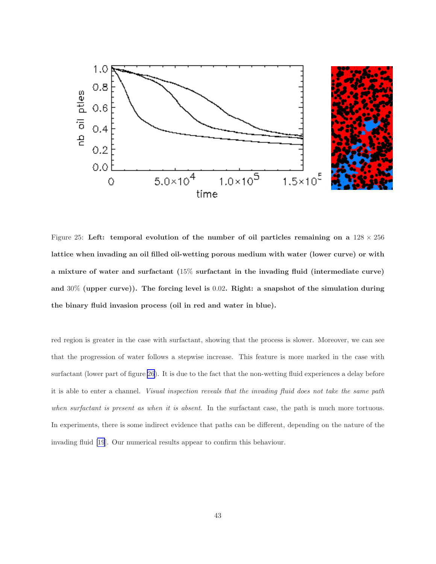<span id="page-42-0"></span>

Figure 25: Left: temporal evolution of the number of oil particles remaining on a  $128 \times 256$ lattice when invading an oil filled oil-wetting porous medium with water (lower curve) or with a mixture of water and surfactant (15% surfactant in the invading fluid (intermediate curve) and 30% (upper curve)). The forcing level is 0.02. Right: a snapshot of the simulation during the binary fluid invasion process (oil in red and water in blue).

red region is greater in the case with surfactant, showing that the process is slower. Moreover, we can see that the progression of water follows a stepwise increase. This feature is more marked in the case with surfactant (lower part of figure [26](#page-43-0)). It is due to the fact that the non-wetting fluid experiences a delay before it is able to enter a channel. Visual inspection reveals that the invading fluid does not take the same path when surfactant is present as when it is absent. In the surfactant case, the path is much more tortuous. In experiments, there is some indirect evidence that paths can be different, depending on the nature of the invading fluid [\[19](#page-47-0)]. Our numerical results appear to confirm this behaviour.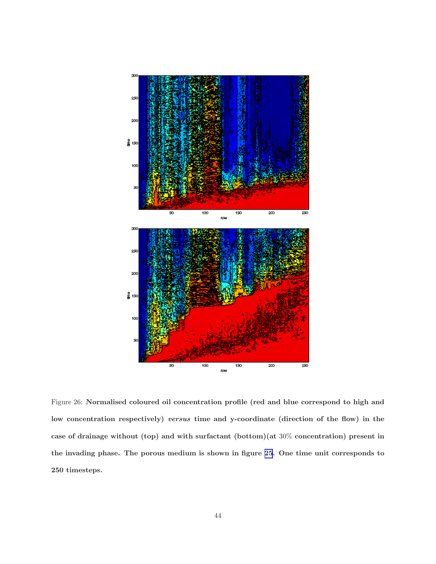<span id="page-43-0"></span>

Figure 26: Normalised coloured oil concentration profile (red and blue correspond to high and low concentration respectively) versus time and y-coordinate (direction of the flow) in the case of drainage without (top) and with surfactant (bottom)(at 30% concentration) present in the invading phase. The porous medium is shown in figure [25](#page-42-0). One time unit corresponds to 250 timesteps.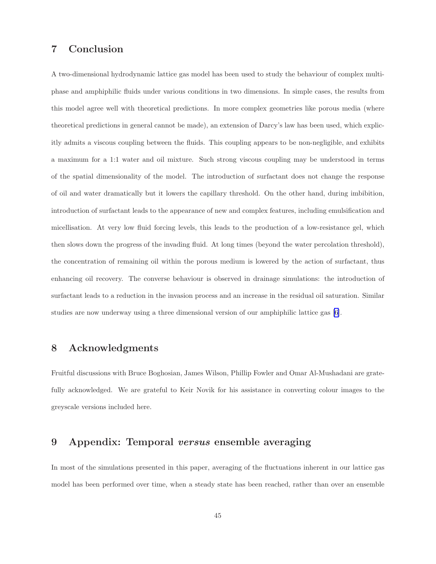# 7 Conclusion

A two-dimensional hydrodynamic lattice gas model has been used to study the behaviour of complex multiphase and amphiphilic fluids under various conditions in two dimensions. In simple cases, the results from this model agree well with theoretical predictions. In more complex geometries like porous media (where theoretical predictions in general cannot be made), an extension of Darcy's law has been used, which explicitly admits a viscous coupling between the fluids. This coupling appears to be non-negligible, and exhibits a maximum for a 1:1 water and oil mixture. Such strong viscous coupling may be understood in terms of the spatial dimensionality of the model. The introduction of surfactant does not change the response of oil and water dramatically but it lowers the capillary threshold. On the other hand, during imbibition, introduction of surfactant leads to the appearance of new and complex features, including emulsification and micellisation. At very low fluid forcing levels, this leads to the production of a low-resistance gel, which then slows down the progress of the invading fluid. At long times (beyond the water percolation threshold), the concentration of remaining oil within the porous medium is lowered by the action of surfactant, thus enhancing oil recovery. The converse behaviour is observed in drainage simulations: the introduction of surfactant leads to a reduction in the invasion process and an increase in the residual oil saturation. Similar studies are now underway using a three dimensional version of our amphiphilic lattice gas [\[6](#page-46-0)].

# 8 Acknowledgments

Fruitful discussions with Bruce Boghosian, James Wilson, Phillip Fowler and Omar Al-Mushadani are gratefully acknowledged. We are grateful to Keir Novik for his assistance in converting colour images to the greyscale versions included here.

# 9 Appendix: Temporal versus ensemble averaging

In most of the simulations presented in this paper, averaging of the fluctuations inherent in our lattice gas model has been performed over time, when a steady state has been reached, rather than over an ensemble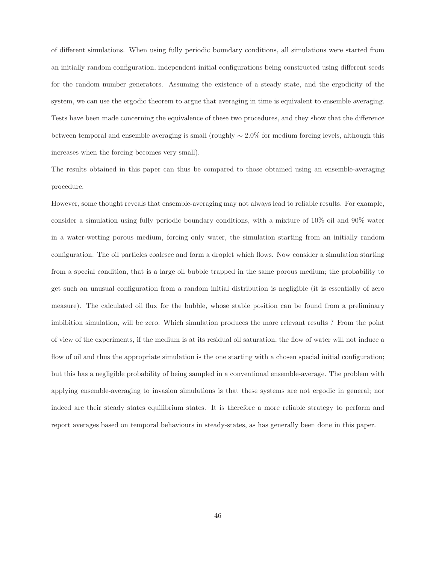of different simulations. When using fully periodic boundary conditions, all simulations were started from an initially random configuration, independent initial configurations being constructed using different seeds for the random number generators. Assuming the existence of a steady state, and the ergodicity of the system, we can use the ergodic theorem to argue that averaging in time is equivalent to ensemble averaging. Tests have been made concerning the equivalence of these two procedures, and they show that the difference between temporal and ensemble averaging is small (roughly ∼ 2.0% for medium forcing levels, although this increases when the forcing becomes very small).

The results obtained in this paper can thus be compared to those obtained using an ensemble-averaging procedure.

However, some thought reveals that ensemble-averaging may not always lead to reliable results. For example, consider a simulation using fully periodic boundary conditions, with a mixture of 10% oil and 90% water in a water-wetting porous medium, forcing only water, the simulation starting from an initially random configuration. The oil particles coalesce and form a droplet which flows. Now consider a simulation starting from a special condition, that is a large oil bubble trapped in the same porous medium; the probability to get such an unusual configuration from a random initial distribution is negligible (it is essentially of zero measure). The calculated oil flux for the bubble, whose stable position can be found from a preliminary imbibition simulation, will be zero. Which simulation produces the more relevant results ? From the point of view of the experiments, if the medium is at its residual oil saturation, the flow of water will not induce a flow of oil and thus the appropriate simulation is the one starting with a chosen special initial configuration; but this has a negligible probability of being sampled in a conventional ensemble-average. The problem with applying ensemble-averaging to invasion simulations is that these systems are not ergodic in general; nor indeed are their steady states equilibrium states. It is therefore a more reliable strategy to perform and report averages based on temporal behaviours in steady-states, as has generally been done in this paper.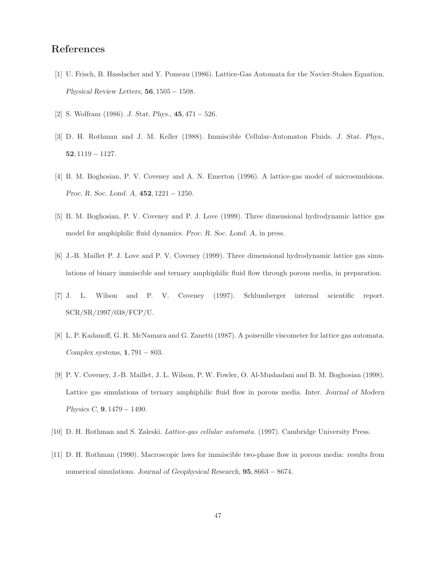# <span id="page-46-0"></span>References

- [1] U. Frisch, B. Hasslacher and Y. Pomeau (1986). Lattice-Gas Automata for the Navier-Stokes Equation. Physical Review Letters, 56, 1505 − 1508.
- [2] S. Wolfram (1986). J. Stat. Phys., 45, 471 − 526.
- [3] D. H. Rothman and J. M. Keller (1988). Immiscible Cellular-Automaton Fluids. J. Stat. Phys., 52, 1119 − 1127.
- [4] B. M. Boghosian, P. V. Coveney and A. N. Emerton (1996). A lattice-gas model of microemulsions. Proc. R. Soc. Lond. A, 452, 1221 − 1250.
- [5] B. M. Boghosian, P. V. Coveney and P. J. Love (1999). Three dimensional hydrodynamic lattice gas model for amphiphilic fluid dynamics. Proc. R. Soc. Lond. A, in press.
- [6] J.-B. Maillet P. J. Love and P. V. Coveney (1999). Three dimensional hydrodynamic lattice gas simulations of binary immiscible and ternary amphiphilic fluid flow through porous media, in preparation.
- [7] J. L. Wilson and P. V. Coveney (1997). Schlumberger internal scientific report. SCR/SR/1997/038/FCP/U.
- [8] L. P. Kadanoff, G. R. McNamara and G. Zanetti (1987). A poiseuille viscometer for lattice gas automata. Complex systems,  $1,791-803$ .
- [9] P. V. Coveney, J.-B. Maillet, J. L. Wilson, P. W. Fowler, O. Al-Mushadani and B. M. Boghosian (1998). Lattice gas simulations of ternary amphiphilic fluid flow in porous media. Inter. Journal of Modern Physics C, 9, 1479 − 1490.
- [10] D. H. Rothman and S. Zaleski. Lattice-gas cellular automata. (1997). Cambridge University Press.
- [11] D. H. Rothman (1990). Macroscopic laws for immiscible two-phase flow in porous media: results from numerical simulations. Journal of Geophysical Research, 95, 8663 − 8674.